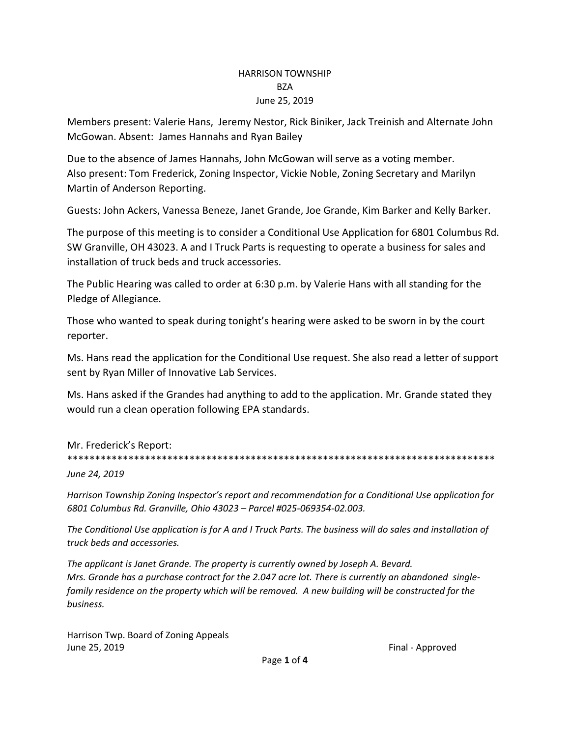#### HARRISON TOWNSHIP BZA June 25, 2019

Members present: Valerie Hans, Jeremy Nestor, Rick Biniker, Jack Treinish and Alternate John McGowan. Absent: James Hannahs and Ryan Bailey

Due to the absence of James Hannahs, John McGowan will serve as a voting member. Also present: Tom Frederick, Zoning Inspector, Vickie Noble, Zoning Secretary and Marilyn Martin of Anderson Reporting.

Guests: John Ackers, Vanessa Beneze, Janet Grande, Joe Grande, Kim Barker and Kelly Barker.

The purpose of this meeting is to consider a Conditional Use Application for 6801 Columbus Rd. SW Granville, OH 43023. A and I Truck Parts is requesting to operate a business for sales and installation of truck beds and truck accessories.

The Public Hearing was called to order at 6:30 p.m. by Valerie Hans with all standing for the Pledge of Allegiance.

Those who wanted to speak during tonight's hearing were asked to be sworn in by the court reporter.

Ms. Hans read the application for the Conditional Use request. She also read a letter of support sent by Ryan Miller of Innovative Lab Services.

Ms. Hans asked if the Grandes had anything to add to the application. Mr. Grande stated they would run a clean operation following EPA standards.

### Mr. Frederick's Report:

\*\*\*\*\*\*\*\*\*\*\*\*\*\*\*\*\*\*\*\*\*\*\*\*\*\*\*\*\*\*\*\*\*\*\*\*\*\*\*\*\*\*\*\*\*\*\*\*\*\*\*\*\*\*\*\*\*\*\*\*\*\*\*\*\*\*\*\*\*\*\*\*\*\*\*\*\*

*June 24, 2019*

*Harrison Township Zoning Inspector's report and recommendation for a Conditional Use application for 6801 Columbus Rd. Granville, Ohio 43023 – Parcel #025-069354-02.003.* 

*The Conditional Use application is for A and I Truck Parts. The business will do sales and installation of truck beds and accessories.* 

*The applicant is Janet Grande. The property is currently owned by Joseph A. Bevard. Mrs. Grande has a purchase contract for the 2.047 acre lot. There is currently an abandoned singlefamily residence on the property which will be removed. A new building will be constructed for the business.* 

Harrison Twp. Board of Zoning Appeals June 25, 2019 **Final - Approved Final - Approved**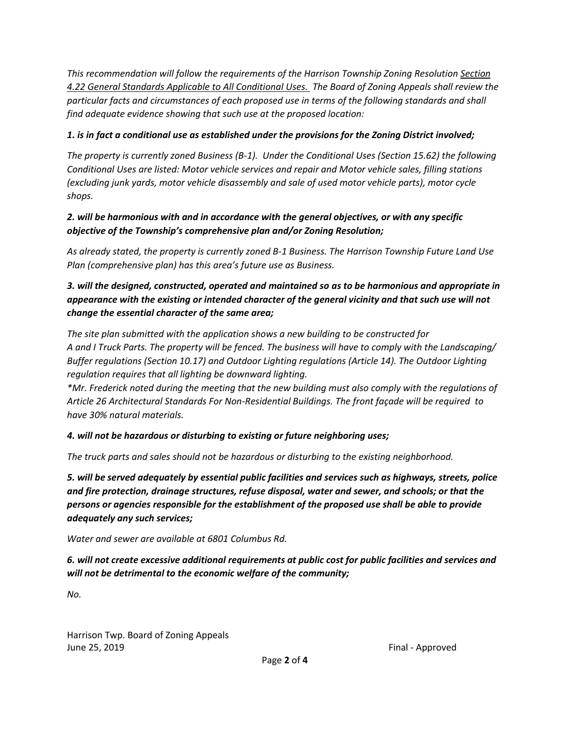*This recommendation will follow the requirements of the Harrison Township Zoning Resolution Section 4.22 General Standards Applicable to All Conditional Uses. The Board of Zoning Appeals shall review the particular facts and circumstances of each proposed use in terms of the following standards and shall find adequate evidence showing that such use at the proposed location:*

## *1. is in fact a conditional use as established under the provisions for the Zoning District involved;*

*The property is currently zoned Business (B-1). Under the Conditional Uses (Section 15.62) the following Conditional Uses are listed: Motor vehicle services and repair and Motor vehicle sales, filling stations (excluding junk yards, motor vehicle disassembly and sale of used motor vehicle parts), motor cycle shops.* 

## *2. will be harmonious with and in accordance with the general objectives, or with any specific objective of the Township's comprehensive plan and/or Zoning Resolution;*

*As already stated, the property is currently zoned B-1 Business. The Harrison Township Future Land Use Plan (comprehensive plan) has this area's future use as Business.* 

## *3. will the designed, constructed, operated and maintained so as to be harmonious and appropriate in appearance with the existing or intended character of the general vicinity and that such use will not change the essential character of the same area;*

*The site plan submitted with the application shows a new building to be constructed for A and I Truck Parts. The property will be fenced. The business will have to comply with the Landscaping/ Buffer regulations (Section 10.17) and Outdoor Lighting regulations (Article 14). The Outdoor Lighting regulation requires that all lighting be downward lighting.*

*\*Mr. Frederick noted during the meeting that the new building must also comply with the regulations of Article 26 Architectural Standards For Non-Residential Buildings. The front façade will be required to have 30% natural materials.*

# *4. will not be hazardous or disturbing to existing or future neighboring uses;*

*The truck parts and sales should not be hazardous or disturbing to the existing neighborhood.* 

*5. will be served adequately by essential public facilities and services such as highways, streets, police and fire protection, drainage structures, refuse disposal, water and sewer, and schools; or that the persons or agencies responsible for the establishment of the proposed use shall be able to provide adequately any such services;* 

*Water and sewer are available at 6801 Columbus Rd.* 

*6. will not create excessive additional requirements at public cost for public facilities and services and will not be detrimental to the economic welfare of the community;*

*No.* 

Harrison Twp. Board of Zoning Appeals June 25, 2019 Final - Approved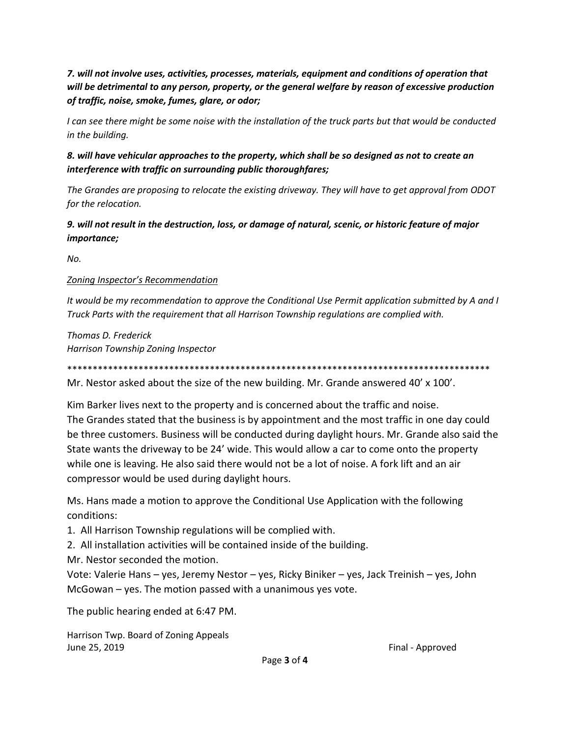*7. will not involve uses, activities, processes, materials, equipment and conditions of operation that will be detrimental to any person, property, or the general welfare by reason of excessive production of traffic, noise, smoke, fumes, glare, or odor;* 

*I can see there might be some noise with the installation of the truck parts but that would be conducted in the building.* 

*8. will have vehicular approaches to the property, which shall be so designed as not to create an interference with traffic on surrounding public thoroughfares;*

*The Grandes are proposing to relocate the existing driveway. They will have to get approval from ODOT for the relocation.*

*9. will not result in the destruction, loss, or damage of natural, scenic, or historic feature of major importance;* 

*No.* 

#### *Zoning Inspector's Recommendation*

*It would be my recommendation to approve the Conditional Use Permit application submitted by A and I Truck Parts with the requirement that all Harrison Township regulations are complied with.* 

*Thomas D. Frederick Harrison Township Zoning Inspector*

\*\*\*\*\*\*\*\*\*\*\*\*\*\*\*\*\*\*\*\*\*\*\*\*\*\*\*\*\*\*\*\*\*\*\*\*\*\*\*\*\*\*\*\*\*\*\*\*\*\*\*\*\*\*\*\*\*\*\*\*\*\*\*\*\*\*\*\*\*\*\*\*\*\*\*\*\*\*\*\*\*\*\*

Mr. Nestor asked about the size of the new building. Mr. Grande answered 40' x 100'.

Kim Barker lives next to the property and is concerned about the traffic and noise. The Grandes stated that the business is by appointment and the most traffic in one day could be three customers. Business will be conducted during daylight hours. Mr. Grande also said the State wants the driveway to be 24' wide. This would allow a car to come onto the property while one is leaving. He also said there would not be a lot of noise. A fork lift and an air compressor would be used during daylight hours.

Ms. Hans made a motion to approve the Conditional Use Application with the following conditions:

1. All Harrison Township regulations will be complied with.

2. All installation activities will be contained inside of the building.

Mr. Nestor seconded the motion.

Vote: Valerie Hans – yes, Jeremy Nestor – yes, Ricky Biniker – yes, Jack Treinish – yes, John McGowan – yes. The motion passed with a unanimous yes vote.

The public hearing ended at 6:47 PM.

Harrison Twp. Board of Zoning Appeals June 25, 2019 Final - Approved